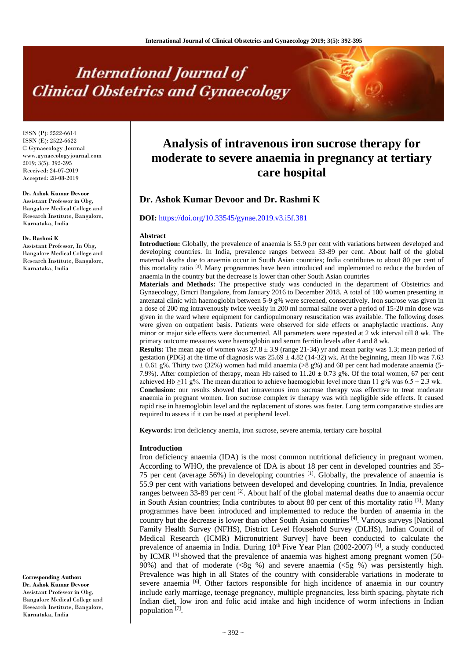# **International Journal of Clinical Obstetrics and Gynaecology**

ISSN (P): 2522-6614 ISSN (E): 2522-6622 © Gynaecology Journal www.gynaecologyjournal.com 2019; 3(5): 392-395 Received: 24-07-2019 Accepted: 28-08-2019

# **Dr. Ashok Kumar Devoor**

Assistant Professor in Obg, Bangalore Medical College and Research Institute, Bangalore, Karnataka, India

#### **Dr. Rashmi K**

Assistant Professor, In Obg, Bangalore Medical College and Research Institute, Bangalore, Karnataka, India

**Corresponding Author: Dr. Ashok Kumar Devoor** Assistant Professor in Obg, Bangalore Medical College and Research Institute, Bangalore, Karnataka, India

# **Analysis of intravenous iron sucrose therapy for moderate to severe anaemia in pregnancy at tertiary care hospital**

# **Dr. Ashok Kumar Devoor and Dr. Rashmi K**

# **DOI:** <https://doi.org/10.33545/gynae.2019.v3.i5f.381>

#### **Abstract**

**Introduction:** Globally, the prevalence of anaemia is 55.9 per cent with variations between developed and developing countries. In India, prevalence ranges between 33-89 per cent. About half of the global maternal deaths due to anaemia occur in South Asian countries; India contributes to about 80 per cent of this mortality ratio <sup>[3]</sup>. Many programmes have been introduced and implemented to reduce the burden of anaemia in the country but the decrease is lower than other South Asian countries

**Materials and Methods:** The prospective study was conducted in the department of Obstetrics and Gynaecology, Bmcri Bangalore, from January 2016 to December 2018. A total of 100 women presenting in antenatal clinic with haemoglobin between 5-9 g% were screened, consecutively. Iron sucrose was given in a dose of 200 mg intravenously twice weekly in 200 ml normal saline over a period of 15-20 min dose was given in the ward where equipment for cardiopulmonary resuscitation was available. The following doses were given on outpatient basis. Patients were observed for side effects or anaphylactic reactions. Any minor or major side effects were documented. All parameters were repeated at 2 wk interval till 8 wk. The primary outcome measures were haemoglobin and serum ferritin levels after 4 and 8 wk.

**Results:** The mean age of women was  $27.8 \pm 3.9$  (range 21-34) yr and mean parity was 1.3; mean period of gestation (PDG) at the time of diagnosis was  $25.69 \pm 4.82$  (14-32) wk. At the beginning, mean Hb was 7.63  $\pm$  0.61 g%. Thirty two (32%) women had mild anaemia (>8 g%) and 68 per cent had moderate anaemia (5-7.9%). After completion of therapy, mean Hb raised to  $11.20 \pm 0.73$  g%. Of the total women, 67 per cent achieved Hb ≥11 g%. The mean duration to achieve haemoglobin level more than 11 g% was  $6.5 \pm 2.3$  wk. **Conclusion:** our results showed that intravenous iron sucrose therapy was effective to treat moderate anaemia in pregnant women. Iron sucrose complex iv therapy was with negligible side effects. It caused rapid rise in haemoglobin level and the replacement of stores was faster. Long term comparative studies are required to assess if it can be used at peripheral level.

**Keywords:** iron deficiency anemia, iron sucrose, severe anemia, tertiary care hospital

#### **Introduction**

Iron deficiency anaemia (IDA) is the most common nutritional deficiency in pregnant women. According to WHO, the prevalence of IDA is about 18 per cent in developed countries and 35- 75 per cent (average 56%) in developing countries [1]. Globally, the prevalence of anaemia is 55.9 per cent with variations between developed and developing countries. In India, prevalence ranges between 33-89 per cent<sup>[2]</sup>. About half of the global maternal deaths due to anaemia occur in South Asian countries; India contributes to about 80 per cent of this mortality ratio [3]. Many programmes have been introduced and implemented to reduce the burden of anaemia in the country but the decrease is lower than other South Asian countries [4] . Various surveys [National Family Health Survey (NFHS), District Level Household Survey (DLHS), Indian Council of Medical Research (ICMR) Micronutrient Survey] have been conducted to calculate the prevalence of anaemia in India. During  $10<sup>th</sup>$  Five Year Plan (2002-2007) <sup>[4]</sup>, a study conducted by ICMR<sup>[5]</sup> showed that the prevalence of anaemia was highest among pregnant women (50-90%) and that of moderate  $(\langle 8g \rangle 8)$  and severe anaemia  $(\langle 5g \rangle 8)$  was persistently high. Prevalence was high in all States of the country with considerable variations in moderate to severe anaemia [6]. Other factors responsible for high incidence of anaemia in our country include early marriage, teenage pregnancy, multiple pregnancies, less birth spacing, phytate rich Indian diet, low iron and folic acid intake and high incidence of worm infections in Indian population<sup>[7]</sup>.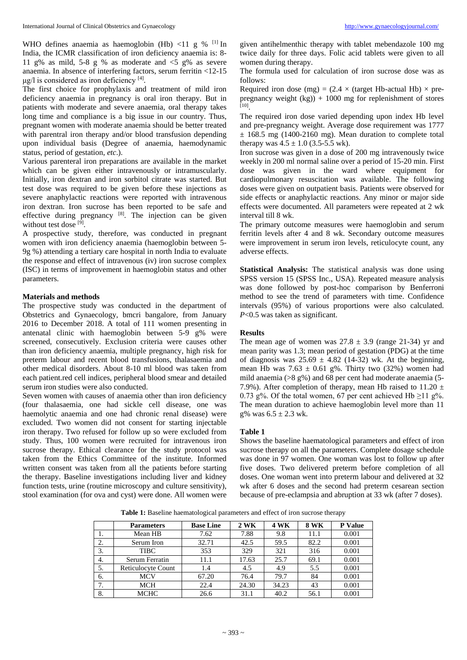WHO defines anaemia as haemoglobin (Hb)  $\langle 11 \text{ g } \%$  [1] In India, the ICMR classification of iron deficiency anaemia is: 8- 11 g% as mild, 5-8 g % as moderate and  $\leq 5$  g% as severe anaemia. In absence of interfering factors, serum ferritin <12-15  $\mu$ g/l is considered as iron deficiency [4].

The first choice for prophylaxis and treatment of mild iron deficiency anaemia in pregnancy is oral iron therapy. But in patients with moderate and severe anaemia, oral therapy takes long time and compliance is a big issue in our country. Thus, pregnant women with moderate anaemia should be better treated with parentral iron therapy and/or blood transfusion depending upon individual basis (Degree of anaemia, haemodynamic status, period of gestation, *etc*.).

Various parenteral iron preparations are available in the market which can be given either intravenously or intramuscularly. Initially, iron dextran and iron sorbitol citrate was started. But test dose was required to be given before these injections as severe anaphylactic reactions were reported with intravenous iron dextran. Iron sucrose has been reported to be safe and effective during pregnancy  $[8]$ . The injection can be given without test dose [9].

A prospective study, therefore, was conducted in pregnant women with iron deficiency anaemia (haemoglobin between 5- 9g %) attending a tertiary care hospital in north India to evaluate the response and effect of intravenous (iv) iron sucrose complex (ISC) in terms of improvement in haemoglobin status and other parameters.

# **Materials and methods**

The prospective study was conducted in the department of Obstetrics and Gynaecology, bmcri bangalore, from January 2016 to December 2018. A total of 111 women presenting in antenatal clinic with haemoglobin between 5-9 g% were screened, consecutively. Exclusion criteria were causes other than iron deficiency anaemia, multiple pregnancy, high risk for preterm labour and recent blood transfusions, thalasaemia and other medical disorders. About 8-10 ml blood was taken from each patient.red cell indices, peripheral blood smear and detailed serum iron studies were also conducted.

Seven women with causes of anaemia other than iron deficiency (four thalasaemia, one had sickle cell disease, one was haemolytic anaemia and one had chronic renal disease) were excluded. Two women did not consent for starting injectable iron therapy. Two refused for follow up so were excluded from study. Thus, 100 women were recruited for intravenous iron sucrose therapy. Ethical clearance for the study protocol was taken from the Ethics Committee of the institute. Informed written consent was taken from all the patients before starting the therapy. Baseline investigations including liver and kidney function tests, urine (routine microscopy and culture sensitivity), stool examination (for ova and cyst) were done. All women were

given antihelmenthic therapy with tablet mebendazole 100 mg twice daily for three days. Folic acid tablets were given to all women during therapy.

The formula used for calculation of iron sucrose dose was as follows:

Required iron dose (mg) =  $(2.4 \times$  (target Hb-actual Hb)  $\times$  prepregnancy weight  $(kg)$ ) + 1000 mg for replenishment of stores [10] .

The required iron dose varied depending upon index Hb level and pre-pregnancy weight. Average dose requirement was 1777  $\pm$  168.5 mg (1400-2160 mg). Mean duration to complete total therapy was  $4.5 \pm 1.0$  (3.5-5.5 wk).

Iron sucrose was given in a dose of 200 mg intravenously twice weekly in 200 ml normal saline over a period of 15-20 min. First dose was given in the ward where equipment for cardiopulmonary resuscitation was available. The following doses were given on outpatient basis. Patients were observed for side effects or anaphylactic reactions. Any minor or major side effects were documented. All parameters were repeated at 2 wk interval till 8 wk.

The primary outcome measures were haemoglobin and serum ferritin levels after 4 and 8 wk. Secondary outcome measures were improvement in serum iron levels, reticulocyte count, any adverse effects.

**Statistical Analysis:** The statistical analysis was done using SPSS version 15 (SPSS Inc., USA). Repeated measure analysis was done followed by post-hoc comparison by Benferroni method to see the trend of parameters with time. Confidence intervals (95%) of various proportions were also calculated. *P*<0.5 was taken as significant.

# **Results**

The mean age of women was  $27.8 \pm 3.9$  (range 21-34) yr and mean parity was 1.3; mean period of gestation (PDG) at the time of diagnosis was  $25.69 \pm 4.82$  (14-32) wk. At the beginning, mean Hb was  $7.63 \pm 0.61$  g%. Thirty two (32%) women had mild anaemia (>8 g%) and 68 per cent had moderate anaemia (5- 7.9%). After completion of therapy, mean Hb raised to  $11.20 \pm 1.20$ 0.73 g%. Of the total women, 67 per cent achieved Hb  $\geq$ 11 g%. The mean duration to achieve haemoglobin level more than 11 g% was  $6.5 \pm 2.3$  wk.

# **Table 1**

Shows the baseline haematological parameters and effect of iron sucrose therapy on all the parameters. Complete dosage schedule was done in 97 women. One woman was lost to follow up after five doses. Two delivered preterm before completion of all doses. One woman went into preterm labour and delivered at 32 wk after 6 doses and the second had preterm cesarean section because of pre-eclampsia and abruption at 33 wk (after 7 doses).

**Parameters Base Line 2 WK 4 WK 8 WK P Value** 1. Mean HB 7.62 7.88 9.8 11.1 0.001<br>2. Serum Iron 32.71 42.5 59.5 82.2 0.001 2. Serum Iron 32.71 42.5 59.5 82.2 0.001 3. TIBC 353 329 321 316 0.001 4. Serum Ferratin 11.1 17.63 25.7 69.1 0.001 5. Reticulocyte Count 1.4 4.5 4.9 5.5 0.001 6. MCV 67.20 76.4 79.7 84 0.001

7. MCH 22.4 24.30 34.23 43 0.001 8. MCHC 26.6 31.1 40.2 56.1 0.001

Table 1: Baseline haematological parameters and effect of iron sucrose therapy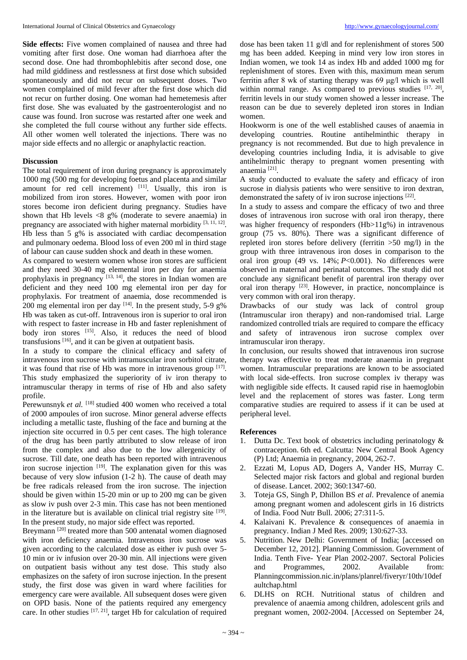**Side effects:** Five women complained of nausea and three had vomiting after first dose. One woman had diarrhoea after the second dose. One had thrombophlebitis after second dose, one had mild giddiness and restlessness at first dose which subsided spontaneously and did not recur on subsequent doses. Two women complained of mild fever after the first dose which did not recur on further dosing. One woman had hemetemesis after first dose. She was evaluated by the gastroenterologist and no cause was found. Iron sucrose was restarted after one week and she completed the full course without any further side effects. All other women well tolerated the injections. There was no major side effects and no allergic or anaphylactic reaction.

# **Discussion**

The total requirement of iron during pregnancy is approximately 1000 mg (500 mg for developing foetus and placenta and similar amount for red cell increment)  $[11]$ . Usually, this iron is mobilized from iron stores. However, women with poor iron stores become iron deficient during pregnancy. Studies have shown that Hb levels  $\langle 8 \rangle$  g% (moderate to severe anaemia) in pregnancy are associated with higher maternal morbidity <sup>[3, 11, 12]</sup>. Hb less than 5 g% is associated with cardiac decompensation and pulmonary oedema. Blood loss of even 200 ml in third stage of labour can cause sudden shock and death in these women.

As compared to western women whose iron stores are sufficient and they need 30-40 mg elemental iron per day for anaemia prophylaxis in pregnancy [13, 14], the stores in Indian women are deficient and they need 100 mg elemental iron per day for prophylaxis. For treatment of anaemia, dose recommended is 200 mg elemental iron per day <sup>[14]</sup>. In the present study, 5-9 g% Hb was taken as cut-off. Intravenous iron is superior to oral iron with respect to faster increase in Hb and faster replenishment of body iron stores [15]. Also, it reduces the need of blood transfusions [16], and it can be given at outpatient basis.

In a study to compare the clinical efficacy and safety of intravenous iron sucrose with intramuscular iron sorbitol citrate, it was found that rise of Hb was more in intravenous group [17]. This study emphasized the superiority of iv iron therapy to intramuscular therapy in terms of rise of Hb and also safety profile.

Perewunsnyk et al. <sup>[18]</sup> studied 400 women who received a total of 2000 ampoules of iron sucrose. Minor general adverse effects including a metallic taste, flushing of the face and burning at the injection site occurred in 0.5 per cent cases. The high tolerance of the drug has been partly attributed to slow release of iron from the complex and also due to the low allergenicity of sucrose. Till date, one death has been reported with intravenous iron sucrose injection  $[19]$ . The explanation given for this was because of very slow infusion (1-2 h). The cause of death may be free radicals released from the iron sucrose. The injection should be given within 15-20 min or up to 200 mg can be given as slow iv push over 2-3 min. This case has not been mentioned in the literature but is available on clinical trial registry site  $[19]$ . In the present study, no major side effect was reported.

Breymann<sup>[20]</sup> treated more than 500 antenatal women diagnosed with iron deficiency anaemia. Intravenous iron sucrose was given according to the calculated dose as either iv push over 5- 10 min or iv infusion over 20-30 min. All injections were given on outpatient basis without any test dose. This study also emphasizes on the safety of iron sucrose injection. In the present study, the first dose was given in ward where facilities for emergency care were available. All subsequent doses were given on OPD basis. None of the patients required any emergency care. In other studies [17, 21], target Hb for calculation of required

dose has been taken 11 g/dl and for replenishment of stores 500 mg has been added. Keeping in mind very low iron stores in Indian women, we took 14 as index Hb and added 1000 mg for replenishment of stores. Even with this, maximum mean serum ferritin after 8 wk of starting therapy was 69 μg/l which is well within normal range. As compared to previous studies [17, 20], ferritin levels in our study women showed a lesser increase. The reason can be due to severely depleted iron stores in Indian women.

Hookworm is one of the well established causes of anaemia in developing countries. Routine antihelminthic therapy in pregnancy is not recommended. But due to high prevalence in developing countries including India, it is advisable to give antihelminthic therapy to pregnant women presenting with anaemia [21] .

A study conducted to evaluate the safety and efficacy of iron sucrose in dialysis patients who were sensitive to iron dextran, demonstrated the safety of iv iron sucrose injections [22].

In a study to assess and compare the efficacy of two and three doses of intravenous iron sucrose with oral iron therapy, there was higher frequency of responders (Hb>11g%) in intravenous group (75 vs. 80%). There was a significant difference of repleted iron stores before delivery (ferritin >50 mg/l) in the group with three intravenous iron doses in comparison to the oral iron group (49 vs. 14%; *P*<0.001). No differences were observed in maternal and perinatal outcomes. The study did not conclude any significant benefit of parentral iron therapy over oral iron therapy [23]. However, in practice, noncomplaince is very common with oral iron therapy.

Drawbacks of our study was lack of control group (Intramuscular iron therapy) and non-randomised trial. Large randomized controlled trials are required to compare the efficacy and safety of intravenous iron sucrose complex over intramuscular iron therapy.

In conclusion, our results showed that intravenous iron sucrose therapy was effective to treat moderate anaemia in pregnant women. Intramuscular preparations are known to be associated with local side-effects. Iron sucrose complex iv therapy was with negligible side effects. It caused rapid rise in haemoglobin level and the replacement of stores was faster. Long term comparative studies are required to assess if it can be used at peripheral level.

# **References**

- 1. Dutta Dc. Text book of obstetrics including perinatology & contraception. 6th ed. Calcutta: New Central Book Agency (P) Ltd; Anaemia in pregnancy, 2004, 262-7.
- 2. Ezzati M, Lopus AD, Dogers A, Vander HS, Murray C. Selected major risk factors and global and regional burden of disease. Lancet. 2002; 360:1347-60.
- 3. Toteja GS, Singh P, Dhillon BS *et al*. Prevalence of anemia among pregnant women and adolescent girls in 16 districts of India. Food Nutr Bull. 2006; 27:311-5.
- 4. Kalaivani K. Prevalence & consequences of anaemia in pregnancy. Indian J Med Res. 2009; 130:627-33.
- 5. Nutrition. New Delhi: Government of India; [accessed on December 12, 2012]. Planning Commission. Government of India. Tenth Five- Year Plan 2002-2007. Sectoral Policies and Programmes, 2002. Available from: Planningcommission.nic.in/plans/planrel/fiveryr/10th/10def aultchap.html
- 6. DLHS on RCH. Nutritional status of children and prevalence of anaemia among children, adolescent grils and pregnant women, 2002-2004. [Accessed on September 24,